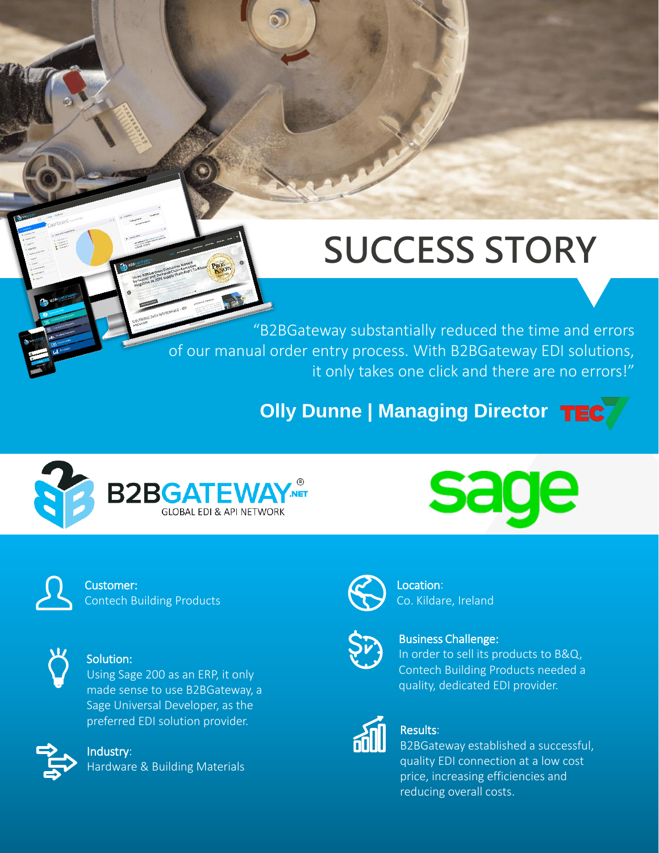# **SUCCESS STORY**

. it only takes one click and there are no errors!" "B2BGateway substantially reduced the time and errors of our manual order entry process. With B2BGateway EDI solutions,

**Olly Dunne | Managing Director** TEC





Customer: Contech Building Products



#### Solution:

Using Sage 200 as an ERP, it only made sense to use B2BGateway, a Sage Universal Developer, as the preferred EDI solution provider.



#### Industry:

Hardware & Building Materials



Location: Co. Kildare, Ireland



#### Business Challenge:

In order to sell its products to B&Q, Contech Building Products needed a quality, dedicated EDI provider.



#### Results:

B2BGateway established a successful, quality EDI connection at a low cost price, increasing efficiencies and reducing overall costs.